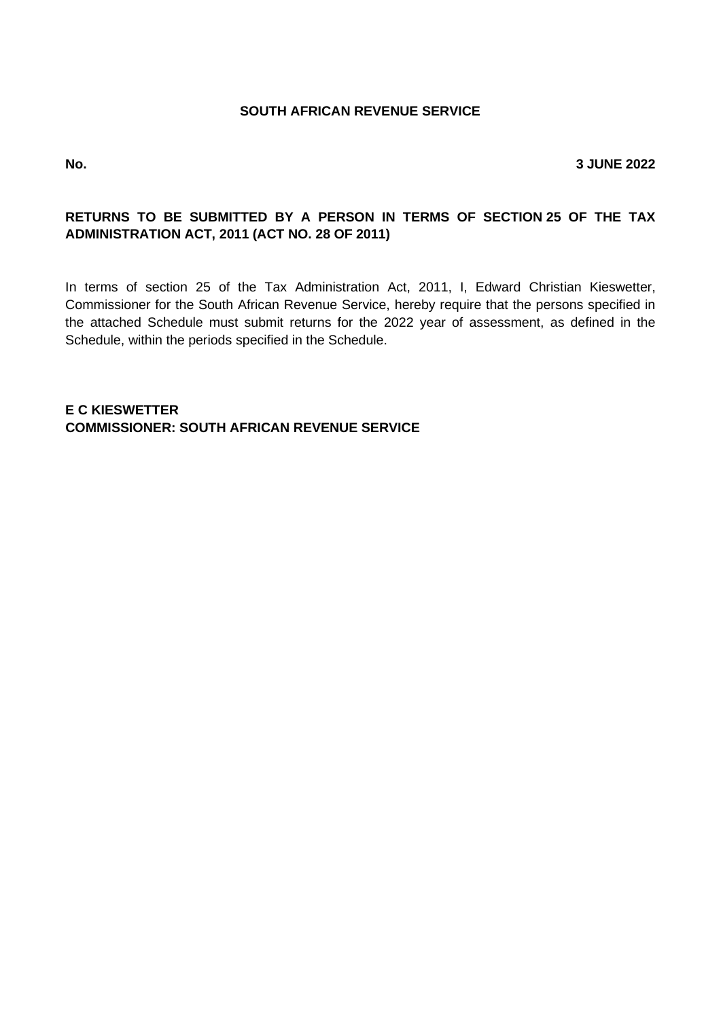#### **SOUTH AFRICAN REVENUE SERVICE**

#### **No. 3 JUNE 2022**

#### **RETURNS TO BE SUBMITTED BY A PERSON IN TERMS OF SECTION 25 OF THE TAX ADMINISTRATION ACT, 2011 (ACT NO. 28 OF 2011)**

In terms of section 25 of the Tax Administration Act, 2011, I, Edward Christian Kieswetter, Commissioner for the South African Revenue Service, hereby require that the persons specified in the attached Schedule must submit returns for the 2022 year of assessment, as defined in the Schedule, within the periods specified in the Schedule.

**E C KIESWETTER COMMISSIONER: SOUTH AFRICAN REVENUE SERVICE**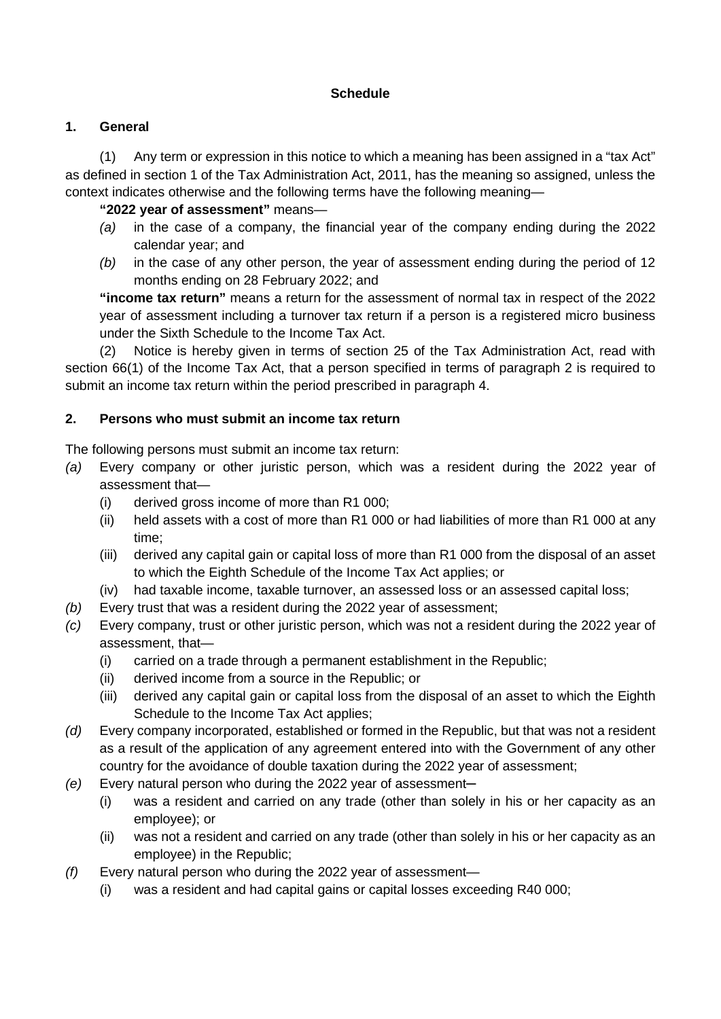# **Schedule**

# **1. General**

(1) Any term or expression in this notice to which a meaning has been assigned in a "tax Act" as defined in section 1 of the Tax Administration Act, 2011, has the meaning so assigned, unless the context indicates otherwise and the following terms have the following meaning—

**"2022 year of assessment"** means—

- *(a)* in the case of a company, the financial year of the company ending during the 2022 calendar year; and
- *(b)* in the case of any other person, the year of assessment ending during the period of 12 months ending on 28 February 2022; and

**"income tax return"** means a return for the assessment of normal tax in respect of the 2022 year of assessment including a turnover tax return if a person is a registered micro business under the Sixth Schedule to the Income Tax Act.

(2) Notice is hereby given in terms of section 25 of the Tax Administration Act, read with section 66(1) of the Income Tax Act, that a person specified in terms of paragraph 2 is required to submit an income tax return within the period prescribed in paragraph 4.

## **2. Persons who must submit an income tax return**

The following persons must submit an income tax return:

- *(a)* Every company or other juristic person, which was a resident during the 2022 year of assessment that—
	- (i) derived gross income of more than R1 000;
	- (ii) held assets with a cost of more than R1 000 or had liabilities of more than R1 000 at any time;
	- (iii) derived any capital gain or capital loss of more than R1 000 from the disposal of an asset to which the Eighth Schedule of the Income Tax Act applies; or
	- (iv) had taxable income, taxable turnover, an assessed loss or an assessed capital loss;
- *(b)* Every trust that was a resident during the 2022 year of assessment;
- *(c)* Every company, trust or other juristic person, which was not a resident during the 2022 year of assessment, that—
	- (i) carried on a trade through a permanent establishment in the Republic;
	- (ii) derived income from a source in the Republic; or
	- (iii) derived any capital gain or capital loss from the disposal of an asset to which the Eighth Schedule to the Income Tax Act applies;
- *(d)* Every company incorporated, established or formed in the Republic, but that was not a resident as a result of the application of any agreement entered into with the Government of any other country for the avoidance of double taxation during the 2022 year of assessment;
- *(e)* Every natural person who during the 2022 year of assessment—
	- (i) was a resident and carried on any trade (other than solely in his or her capacity as an employee); or
	- (ii) was not a resident and carried on any trade (other than solely in his or her capacity as an employee) in the Republic;
- *(f)* Every natural person who during the 2022 year of assessment—
	- (i) was a resident and had capital gains or capital losses exceeding R40 000;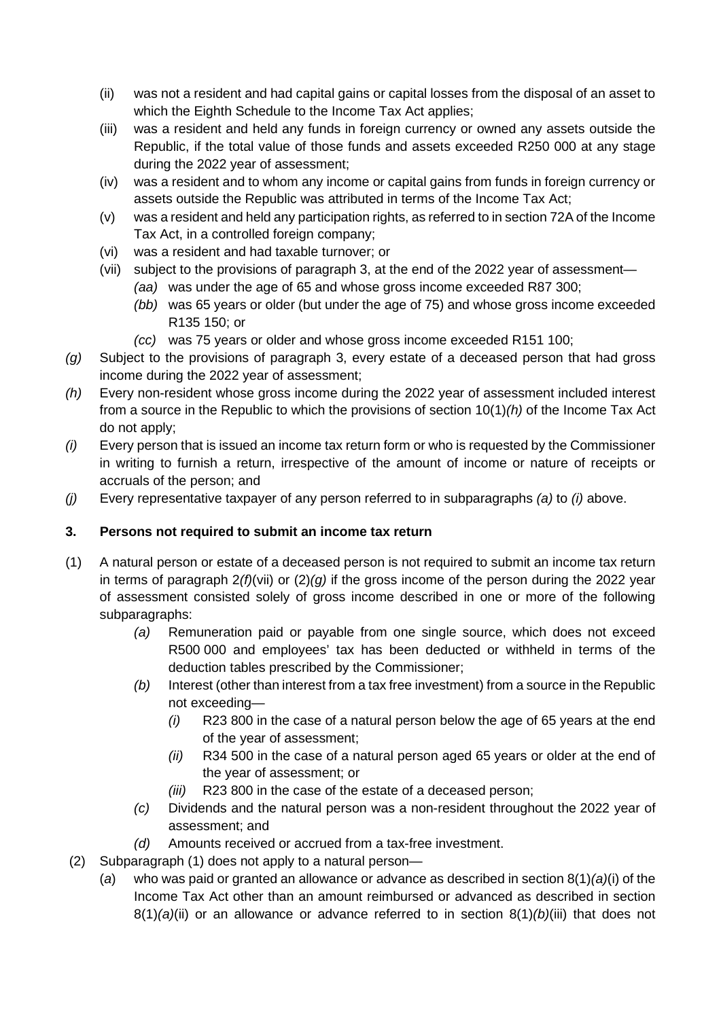- (ii) was not a resident and had capital gains or capital losses from the disposal of an asset to which the Eighth Schedule to the Income Tax Act applies;
- (iii) was a resident and held any funds in foreign currency or owned any assets outside the Republic, if the total value of those funds and assets exceeded R250 000 at any stage during the 2022 year of assessment;
- (iv) was a resident and to whom any income or capital gains from funds in foreign currency or assets outside the Republic was attributed in terms of the Income Tax Act;
- (v) was a resident and held any participation rights, as referred to in section 72A of the Income Tax Act, in a controlled foreign company;
- (vi) was a resident and had taxable turnover; or
- (vii) subject to the provisions of paragraph 3, at the end of the 2022 year of assessment—
	- *(aa)* was under the age of 65 and whose gross income exceeded R87 300;
		- *(bb)* was 65 years or older (but under the age of 75) and whose gross income exceeded R135 150; or
		- *(cc)* was 75 years or older and whose gross income exceeded R151 100;
- *(g)* Subject to the provisions of paragraph 3, every estate of a deceased person that had gross income during the 2022 year of assessment;
- *(h)* Every non-resident whose gross income during the 2022 year of assessment included interest from a source in the Republic to which the provisions of section 10(1)*(h)* of the Income Tax Act do not apply;
- *(i)* Every person that is issued an income tax return form or who is requested by the Commissioner in writing to furnish a return, irrespective of the amount of income or nature of receipts or accruals of the person; and
- *(j)* Every representative taxpayer of any person referred to in subparagraphs *(a)* to *(i)* above.

## **3. Persons not required to submit an income tax return**

- (1) A natural person or estate of a deceased person is not required to submit an income tax return in terms of paragraph 2*(f)*(vii) or (2)*(g)* if the gross income of the person during the 2022 year of assessment consisted solely of gross income described in one or more of the following subparagraphs:
	- *(a)* Remuneration paid or payable from one single source, which does not exceed R500 000 and employees' tax has been deducted or withheld in terms of the deduction tables prescribed by the Commissioner;
	- *(b)* Interest (other than interest from a tax free investment) from a source in the Republic not exceeding—
		- *(i)* R23 800 in the case of a natural person below the age of 65 years at the end of the year of assessment;
		- *(ii)* R34 500 in the case of a natural person aged 65 years or older at the end of the year of assessment; or
		- *(iii)* R23 800 in the case of the estate of a deceased person;
	- *(c)* Dividends and the natural person was a non-resident throughout the 2022 year of assessment; and
	- *(d)* Amounts received or accrued from a tax-free investment.
- (2) Subparagraph (1) does not apply to a natural person—
	- (*a*) who was paid or granted an allowance or advance as described in section 8(1)*(a)*(i) of the Income Tax Act other than an amount reimbursed or advanced as described in section 8(1)*(a)*(ii) or an allowance or advance referred to in section 8(1)*(b)*(iii) that does not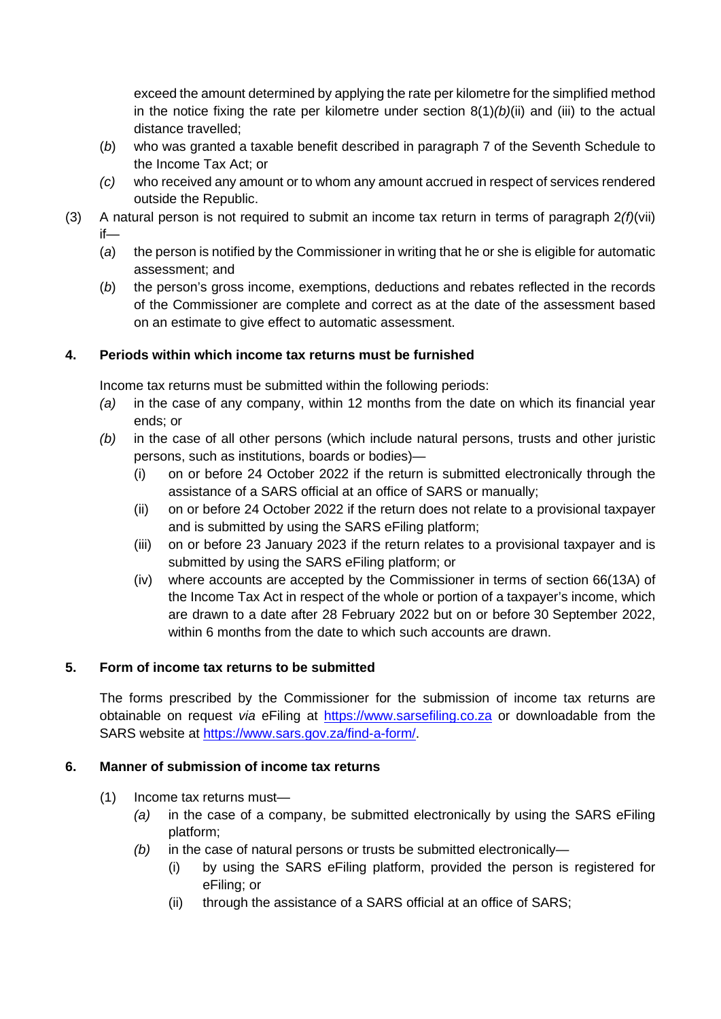exceed the amount determined by applying the rate per kilometre for the simplified method in the notice fixing the rate per kilometre under section 8(1)*(b)*(ii) and (iii) to the actual distance travelled;

- (*b*) who was granted a taxable benefit described in paragraph 7 of the Seventh Schedule to the Income Tax Act; or
- *(c)* who received any amount or to whom any amount accrued in respect of services rendered outside the Republic.
- (3) A natural person is not required to submit an income tax return in terms of paragraph 2*(f)*(vii) if—
	- (*a*) the person is notified by the Commissioner in writing that he or she is eligible for automatic assessment; and
	- (*b*) the person's gross income, exemptions, deductions and rebates reflected in the records of the Commissioner are complete and correct as at the date of the assessment based on an estimate to give effect to automatic assessment.

# **4. Periods within which income tax returns must be furnished**

Income tax returns must be submitted within the following periods:

- *(a)* in the case of any company, within 12 months from the date on which its financial year ends; or
- *(b)* in the case of all other persons (which include natural persons, trusts and other juristic persons, such as institutions, boards or bodies)—
	- (i) on or before 24 October 2022 if the return is submitted electronically through the assistance of a SARS official at an office of SARS or manually;
	- (ii) on or before 24 October 2022 if the return does not relate to a provisional taxpayer and is submitted by using the SARS eFiling platform;
	- (iii) on or before 23 January 2023 if the return relates to a provisional taxpayer and is submitted by using the SARS eFiling platform; or
	- (iv) where accounts are accepted by the Commissioner in terms of section 66(13A) of the Income Tax Act in respect of the whole or portion of a taxpayer's income, which are drawn to a date after 28 February 2022 but on or before 30 September 2022, within 6 months from the date to which such accounts are drawn.

## **5. Form of income tax returns to be submitted**

The forms prescribed by the Commissioner for the submission of income tax returns are obtainable on request *via* eFiling at [https://www.sarsefiling.co.za](https://www.sarsefiling.co.za/) or downloadable from the SARS website at [https://www.sars.gov.za/find-a-form/.](https://www.sars.gov.za/find-a-form/)

## **6. Manner of submission of income tax returns**

- (1) Income tax returns must—
	- *(a)* in the case of a company, be submitted electronically by using the SARS eFiling platform;
	- *(b)* in the case of natural persons or trusts be submitted electronically—
		- (i) by using the SARS eFiling platform, provided the person is registered for eFiling; or
		- (ii) through the assistance of a SARS official at an office of SARS;